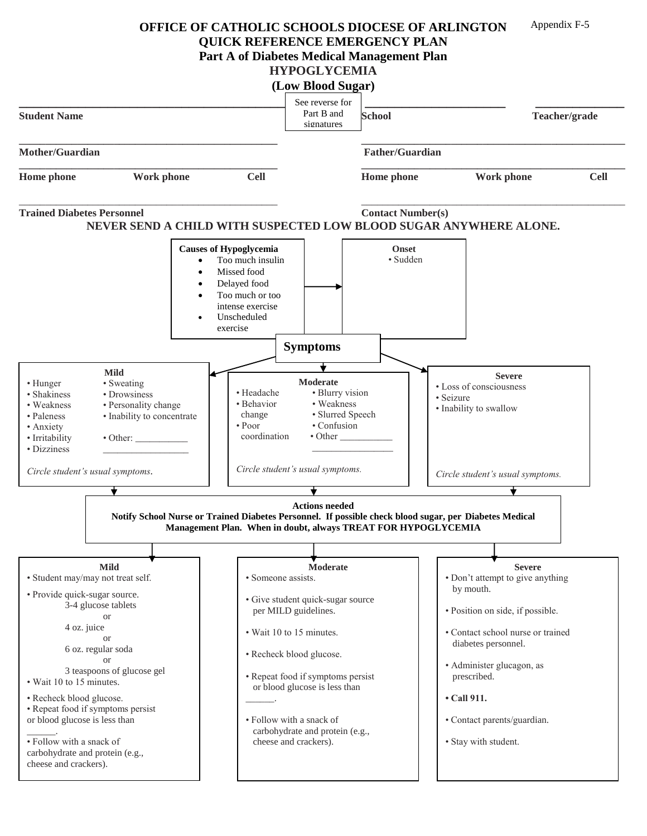**OFFICE OF CATHOLIC SCHOOLS DIOCESE OF ARLINGTON** Appendix F-5

**QUICK REFERENCE EMERGENCY PLAN**

**Part A of Diabetes Medical Management Plan**

## **HYPOGLYCEMIA**

|                                                                                                                                                                                                                                                                                                                                                                                                                                       |                                                                                                                                                                                                                                               | (Low Blood Sugar)                                                                                                                                                                                                                                                                                                        |                          |                                                                                                                                                                                                                                                                                        |
|---------------------------------------------------------------------------------------------------------------------------------------------------------------------------------------------------------------------------------------------------------------------------------------------------------------------------------------------------------------------------------------------------------------------------------------|-----------------------------------------------------------------------------------------------------------------------------------------------------------------------------------------------------------------------------------------------|--------------------------------------------------------------------------------------------------------------------------------------------------------------------------------------------------------------------------------------------------------------------------------------------------------------------------|--------------------------|----------------------------------------------------------------------------------------------------------------------------------------------------------------------------------------------------------------------------------------------------------------------------------------|
| <b>Student Name</b>                                                                                                                                                                                                                                                                                                                                                                                                                   |                                                                                                                                                                                                                                               | See reverse for<br>Part B and<br>signatures                                                                                                                                                                                                                                                                              | <b>School</b>            | Teacher/grade                                                                                                                                                                                                                                                                          |
| Mother/Guardian                                                                                                                                                                                                                                                                                                                                                                                                                       |                                                                                                                                                                                                                                               |                                                                                                                                                                                                                                                                                                                          | <b>Father/Guardian</b>   |                                                                                                                                                                                                                                                                                        |
| Home phone                                                                                                                                                                                                                                                                                                                                                                                                                            | <b>Work phone</b><br><b>Cell</b>                                                                                                                                                                                                              |                                                                                                                                                                                                                                                                                                                          | Home phone               | <b>Work phone</b><br><b>Cell</b>                                                                                                                                                                                                                                                       |
| <b>Trained Diabetes Personnel</b>                                                                                                                                                                                                                                                                                                                                                                                                     |                                                                                                                                                                                                                                               |                                                                                                                                                                                                                                                                                                                          | <b>Contact Number(s)</b> | NEVER SEND A CHILD WITH SUSPECTED LOW BLOOD SUGAR ANYWHERE ALONE.                                                                                                                                                                                                                      |
|                                                                                                                                                                                                                                                                                                                                                                                                                                       | <b>Causes of Hypoglycemia</b><br>Too much insulin<br>$\bullet$<br>Missed food<br>Delayed food<br>٠<br>Too much or too<br>intense exercise<br>Unscheduled<br>$\bullet$<br>exercise                                                             |                                                                                                                                                                                                                                                                                                                          | <b>Onset</b><br>· Sudden |                                                                                                                                                                                                                                                                                        |
|                                                                                                                                                                                                                                                                                                                                                                                                                                       |                                                                                                                                                                                                                                               | <b>Symptoms</b>                                                                                                                                                                                                                                                                                                          |                          |                                                                                                                                                                                                                                                                                        |
| <b>Mild</b><br>• Hunger<br>• Sweating<br>• Drowsiness<br>• Shakiness<br>· Personality change<br>• Weakness<br>• Paleness<br>· Inability to concentrate<br>• Anxiety<br>· Irritability<br>• Dizziness<br>Circle student's usual symptoms.                                                                                                                                                                                              | • Headache<br>• Behavior<br>change<br>$\cdot$ Poor<br>coordination<br>Notify School Nurse or Trained Diabetes Personnel. If possible check blood sugar, per Diabetes Medical<br>Management Plan. When in doubt, always TREAT FOR HYPOGLYCEMIA | Moderate<br>· Blurry vision<br>• Weakness<br>· Slurred Speech<br>• Confusion<br>$\bullet$ Other<br>Circle student's usual symptoms.<br><b>Actions needed</b>                                                                                                                                                             |                          | <b>Severe</b><br>• Loss of consciousness<br>· Seizure<br>· Inability to swallow<br>Circle student's usual symptoms.                                                                                                                                                                    |
|                                                                                                                                                                                                                                                                                                                                                                                                                                       |                                                                                                                                                                                                                                               |                                                                                                                                                                                                                                                                                                                          |                          |                                                                                                                                                                                                                                                                                        |
| <b>Mild</b><br>· Student may/may not treat self.<br>• Provide quick-sugar source.<br>3-4 glucose tablets<br><b>or</b><br>4 oz. juice<br><sub>or</sub><br>6 oz. regular soda<br>or<br>3 teaspoons of glucose gel<br>• Wait 10 to 15 minutes.<br>• Recheck blood glucose.<br>• Repeat food if symptoms persist<br>or blood glucose is less than<br>• Follow with a snack of<br>carbohydrate and protein (e.g.,<br>cheese and crackers). |                                                                                                                                                                                                                                               | <b>Moderate</b><br>• Someone assists.<br>· Give student quick-sugar source<br>per MILD guidelines.<br>• Wait 10 to 15 minutes.<br>• Recheck blood glucose.<br>• Repeat food if symptoms persist<br>or blood glucose is less than<br>• Follow with a snack of<br>carbohydrate and protein (e.g.,<br>cheese and crackers). |                          | <b>Severe</b><br>• Don't attempt to give anything<br>by mouth.<br>· Position on side, if possible.<br>• Contact school nurse or trained<br>diabetes personnel.<br>· Administer glucagon, as<br>prescribed.<br>$\cdot$ Call 911.<br>• Contact parents/guardian.<br>• Stay with student. |